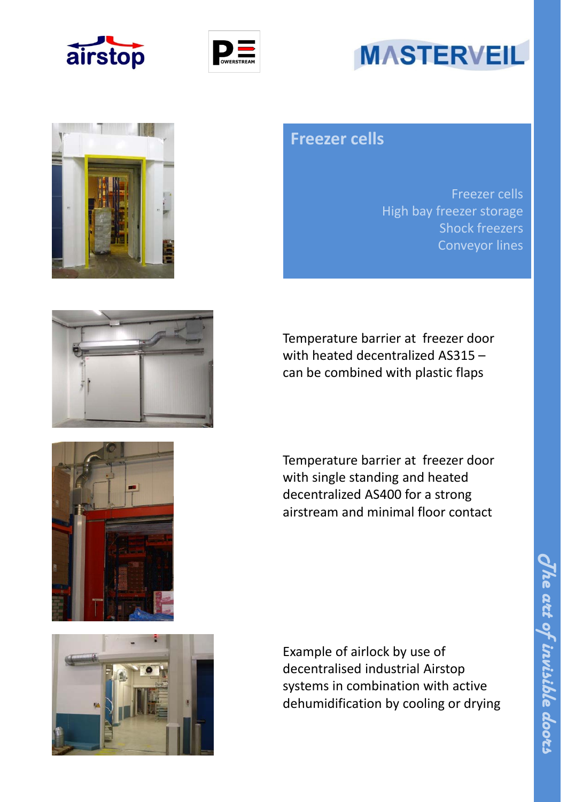



# **MASTERVEIL**

## **Freezer cells**

Freezer cells High bay freezer storage Shock freezers Conveyor lines







Temperature barrier at freezer door with heated decentralized AS315 – can be combined with plastic flaps

Temperature barrier at freezer door with single standing and heated decentralized AS400 for a strong airstream and minimal floor contact

Example of airlock by use of decentralised industrial Airstop systems in combination with active dehumidification by cooling or drying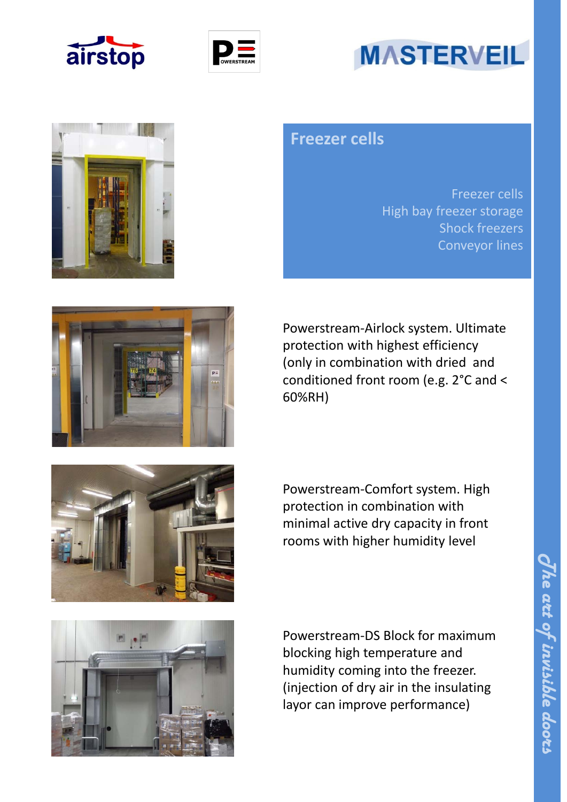



# **MASTERVEIL**



## **Freezer cells**

Freezer cells High bay freezer storage Shock freezers Conveyor lines



Powerstream‐Airlock system. Ultimate protection with highest efficiency (only in combination with dried and conditioned front room (e.g. 2°C and < 60%RH)



Powerstream‐Comfort system. High protection in combination with minimal active dry capacity in front rooms with higher humidity level



Powerstream‐DS Block for maximum blocking high temperature and humidity coming into the freezer. (injection of dry air in the insulating layor can improve performance)